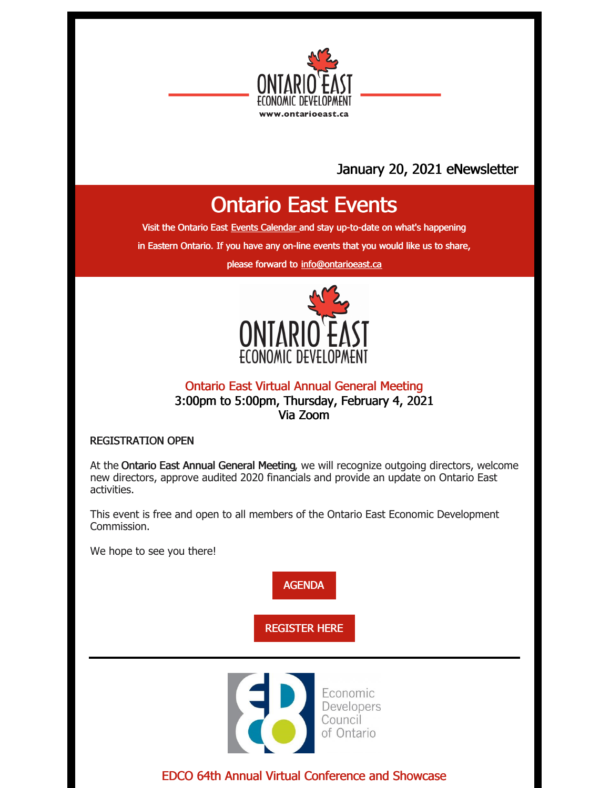

### January 20, 2021 eNewsletter

## Ontario East Events

Visit the Ontario East Events [Calendar](https://ontarioeast.ca/events) and stay up-to-date on what's happening

in Eastern Ontario. If you have any on-line events that you would like us to share,

please forward to [info@ontarioeast.ca](mailto:info@ontarioeast.ca)



Ontario East Virtual Annual General Meeting 3:00pm to 5:00pm, Thursday, February 4, 2021 Via Zoom

REGISTRATION OPEN

At the Ontario East Annual General Meeting, we will recognize outgoing directors, welcome new directors, approve audited 2020 financials and provide an update on Ontario East activities.

This event is free and open to all members of the Ontario East Economic Development Commission.

We hope to see you there!

[AGENDA](https://ontarioeast.ca/events/ontario-east-economic-development-commission-virtual-annual-general-meeting)

[REGISTER](https://www.eventbrite.ca/e/ontario-east-economic-development-commission-annual-general-meeting-2021-registration-135533730035) HERE



EDCO 64th Annual Virtual Conference and Showcase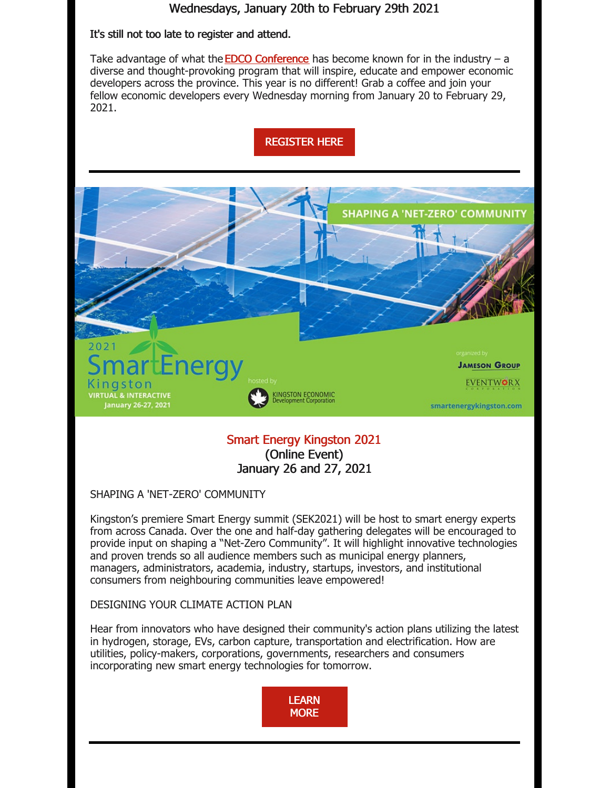### Wednesdays, January 20th to February 29th 2021

#### It's still not too late to register and attend.

Take advantage of what the **EDCO [Conference](http://edcoconference.com/)** has become known for in the industry  $- a$ diverse and thought-provoking program that will inspire, educate and empower economic developers across the province. This year is no different! Grab a coffee and join your fellow economic developers every Wednesday morning from January 20 to February 29, 2021.



### (Online Event) January 26 and 27, 2021

SHAPING A 'NET-ZERO' COMMUNITY

Kingston's premiere Smart Energy summit (SEK2021) will be host to smart energy experts from across Canada. Over the one and half-day gathering delegates will be encouraged to provide input on shaping a "Net-Zero Community". It will highlight innovative technologies and proven trends so all audience members such as municipal energy planners, managers, administrators, academia, industry, startups, investors, and institutional consumers from neighbouring communities leave empowered!

#### DESIGNING YOUR CLIMATE ACTION PLAN

Hear from innovators who have designed their community's action plans utilizing the latest in hydrogen, storage, EVs, carbon capture, transportation and electrification. How are utilities, policy-makers, corporations, governments, researchers and consumers incorporating new smart energy technologies for tomorrow.

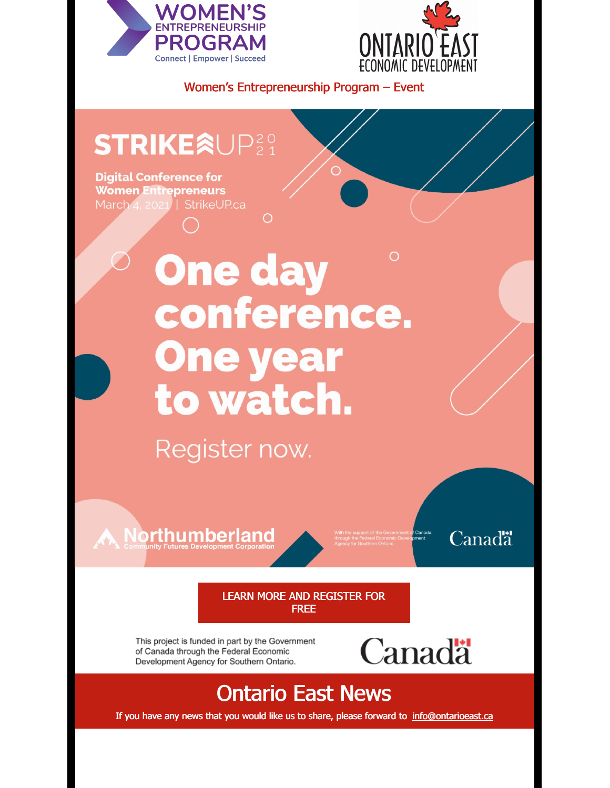



Women's Entrepreneurship Program – Event

## **STRIKEÂUP**29

**Digital Conference for Women Entrepreneurs** March 4, 2021 | StrikeUP.ca

# O **One day** conference. **One year** to watch.

O

Register now.

**A Northumberland** 

Canadä

LEARN MORE AND [REGISTER](https://ontarioeast.ca/events/strikeup-2021-digital-conference-women-entrepreneurs) FOR FREE

This project is funded in part by the Government of Canada through the Federal Economic Development Agency for Southern Ontario.



### Ontario East News

If you have any news that you would like us to share, please forward to [info@ontarioeast.ca](mailto:info@ontarioeast.ca)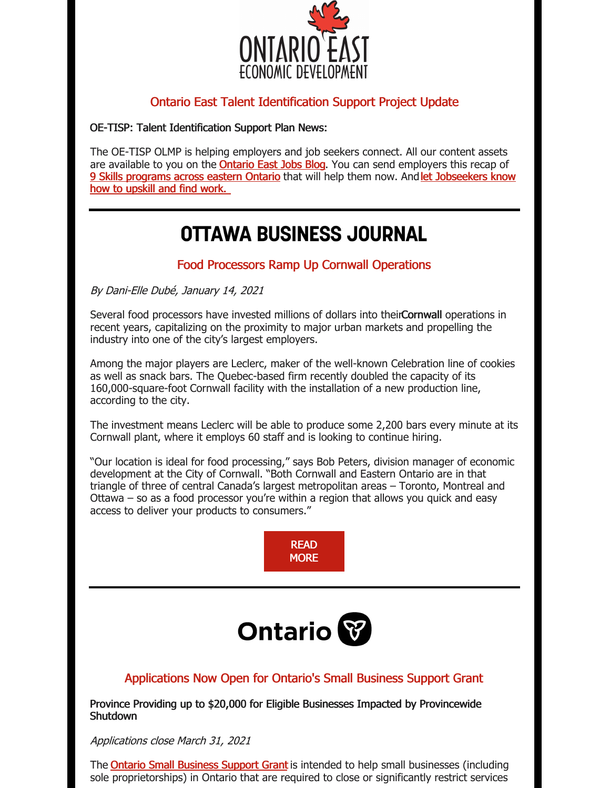

### Ontario East Talent Identification Support Project Update

OE-TISP: Talent Identification Support Plan News:

The OE-TISP OLMP is helping employers and job seekers connect. All our content assets are available to you on the **[Ontario](https://blog.ontarioeast.ca/) East Jobs Blog**. You can send employers this recap of 9 Skills [programs](https://offers.ontarioeast.ca/skills-development-programs-guide) across eastern Ontario that will help them now. And let [Jobseekers](https://blog.ontarioeast.ca/effective-workforce-development-programs-free-to-job-seekers) know how to upskill and find work.

## **OTTAWA BUSINESS JOURNAL**

### Food Processors Ramp Up Cornwall Operations

By Dani-Elle Dubé, January 14, 2021

Several food processors have invested millions of dollars into theirCornwall operations in recent years, capitalizing on the proximity to major urban markets and propelling the industry into one of the city's largest employers.

Among the major players are Leclerc, maker of the well-known Celebration line of cookies as well as snack bars. The Quebec-based firm recently doubled the capacity of its 160,000-square-foot Cornwall facility with the installation of a new production line, according to the city.

The investment means Leclerc will be able to produce some 2,200 bars every minute at its Cornwall plant, where it employs 60 staff and is looking to continue hiring.

"Our location is ideal for food processing," says Bob Peters, division manager of economic development at the City of Cornwall. "Both Cornwall and Eastern Ontario are in that triangle of three of central Canada's largest metropolitan areas – Toronto, Montreal and Ottawa – so as a food processor you're within a region that allows you quick and easy access to deliver your products to consumers."

> **RFAD [MORE](https://ontarioeast.ca/news/food-processors-ramp-cornwall-operations)**



### Applications Now Open for Ontario's Small Business Support Grant

Province Providing up to \$20,000 for Eligible Businesses Impacted by Provincewide **Shutdown** 

Applications close March 31, 2021

The **Ontario Small [Business](https://www.app.grants.gov.on.ca/msrf/#/) Support Grant** is intended to help small businesses (including sole proprietorships) in Ontario that are required to close or significantly restrict services